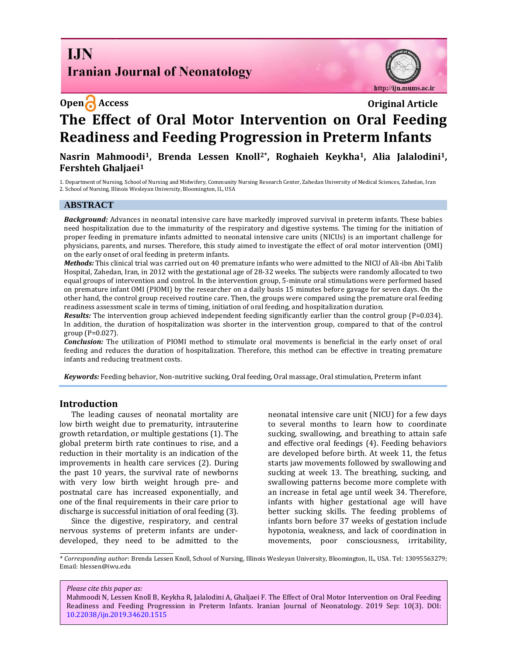**I.IN Iranian Journal of Neonatology** 



# **Open Access Original Article The Effect of Oral Motor Intervention on Oral Feeding Readiness and Feeding Progression in Preterm Infants**

**Nasrin Mahmoodi1, Brenda Lessen Knoll2\*, Roghaieh Keykha1, Alia Jalalodini1, Fershteh Ghaljaei<sup>1</sup>**

1. Department of Nursing, School of Nursing and Midwifery*,* Community Nursing Research Center, Zahedan University of Medical Sciences, Zahedan, Iran 2. School of Nursing, Illinois Wesleyan University, Bloomington, IL, USA

## **ABSTRACT**

*Background:* Advances in neonatal intensive care have markedly improved survival in preterm infants. These babies need hospitalization due to the immaturity of the respiratory and digestive systems. The timing for the initiation of proper feeding in premature infants admitted to neonatal intensive care units (NICUs) is an important challenge for physicians, parents, and nurses. Therefore, this study aimed to investigate the effect of oral motor intervention (OMI) on the early onset of oral feeding in preterm infants.

*Methods:* This clinical trial was carried out on 40 premature infants who were admitted to the NICU of Ali-ibn Abi Talib Hospital, Zahedan, Iran, in 2012 with the gestational age of 28-32 weeks. The subjects were randomly allocated to two equal groups of intervention and control. In the intervention group, 5-minute oral stimulations were performed based on premature infant OMI (PIOMI) by the researcher on a daily basis 15 minutes before gavage for seven days. On the other hand, the control group received routine care. Then, the groups were compared using the premature oral feeding readiness assessment scale in terms of timing, initiation of oral feeding, and hospitalization duration.

*Results:* The intervention group achieved independent feeding significantly earlier than the control group (P=0.034). In addition, the duration of hospitalization was shorter in the intervention group, compared to that of the control group (P=0.027).

*Conclusion:* The utilization of PIOMI method to stimulate oral movements is beneficial in the early onset of oral feeding and reduces the duration of hospitalization. Therefore, this method can be effective in treating premature infants and reducing treatment costs.

*Keywords:* Feeding behavior, Non-nutritive sucking, Oral feeding, Oral massage, Oral stimulation, Preterm infant

### **Introduction**

The leading causes of neonatal mortality are low birth weight due to prematurity, intrauterine growth retardation, or multiple gestations (1). The global preterm birth rate continues to rise, and a reduction in their mortality is an indication of the improvements in health care services (2). During the past 10 years, the survival rate of newborns with very low birth weight hrough pre- and postnatal care has increased exponentially, and one of the final requirements in their care prior to discharge is successful initiation of oral feeding (3).

Since the digestive, respiratory, and central nervous systems of preterm infants are underdeveloped, they need to be admitted to the neonatal intensive care unit (NICU) for a few days to several months to learn how to coordinate sucking, swallowing, and breathing to attain safe and effective oral feedings (4). Feeding behaviors are developed before birth. At week 11, the fetus starts jaw movements followed by swallowing and sucking at week 13. The breathing, sucking, and swallowing patterns become more complete with an increase in fetal age until week 34. Therefore, infants with higher gestational age will have better sucking skills. The feeding problems of infants born before 37 weeks of gestation include hypotonia, weakness, and lack of coordination in movements, poor consciousness, irritability,

*\* Corresponding author*: Brenda Lessen Knoll, School of Nursing, Illinois Wesleyan University, Bloomington, IL, USA. Tel: 13095563279; Email: blessen@iwu.edu

*Please cite this paper as:*

Mahmoodi N, Lessen Knoll B, Keykha R, Jalalodini A, Ghaljaei F. The Effect of Oral Motor Intervention on Oral Feeding Readiness and Feeding Progression in Preterm Infants. Iranian Journal of Neonatology. 2019 Sep: 10(3). DOI: [10.22038/ijn.2019.34620.1515](http://ijn.mums.ac.ir/)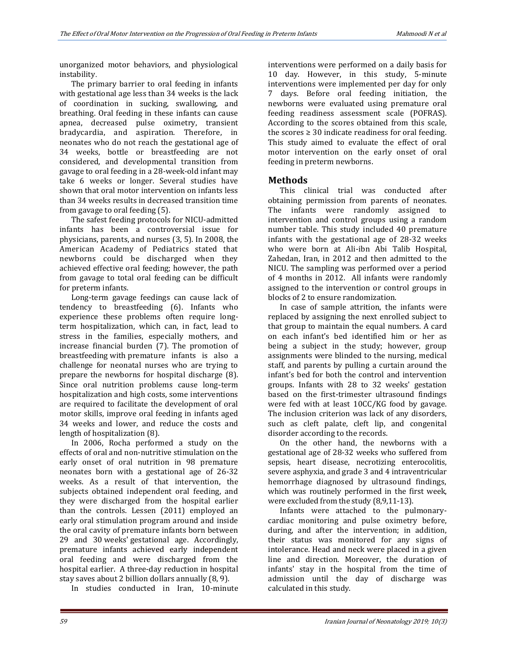unorganized motor behaviors, and physiological instability.

The primary barrier to oral feeding in infants with gestational age less than 34 weeks is the lack of coordination in sucking, swallowing, and breathing. Oral feeding in these infants can cause apnea, decreased pulse oximetry, transient bradycardia, and aspiration. Therefore, in neonates who do not reach the gestational age of 34 weeks, bottle or breastfeeding are not considered, and developmental transition from gavage to oral feeding in a 28-week-old infant may take 6 weeks or longer. Several studies have shown that oral motor intervention on infants less than 34 weeks results in decreased transition time from gavage to oral feeding (5).

The safest feeding protocols for NICU-admitted infants has been a controversial issue for physicians, parents, and nurses (3, 5). In 2008, the American Academy of Pediatrics stated that newborns could be discharged when they achieved effective oral feeding; however, the path from gavage to total oral feeding can be difficult for preterm infants.

Long-term gavage feedings can cause lack of tendency to breastfeeding (6). Infants who experience these problems often require longterm hospitalization, which can, in fact, lead to stress in the families, especially mothers, and increase financial burden (7). The promotion of breastfeeding with premature infants is also a challenge for neonatal nurses who are trying to prepare the newborns for hospital discharge (8). Since oral nutrition problems cause long-term hospitalization and high costs, some interventions are required to facilitate the development of oral motor skills, improve oral feeding in infants aged 34 weeks and lower, and reduce the costs and length of hospitalization (8).

In 2006, Rocha performed a study on the effects of oral and non-nutritive stimulation on the early onset of oral nutrition in 98 premature neonates born with a gestational age of 26-32 weeks. As a result of that intervention, the subjects obtained independent oral feeding, and they were discharged from the hospital earlier than the controls. Lessen (2011) employed an early oral stimulation program around and inside the oral cavity of premature infants born between 29 and 30 weeks' gestational age. Accordingly, premature infants achieved early independent oral feeding and were discharged from the hospital earlier. A three-day reduction in hospital stay saves about 2 billion dollars annually (8, 9).

In studies conducted in Iran, 10-minute

interventions were performed on a daily basis for 10 day. However, in this study, 5-minute interventions were implemented per day for only 7 days. Before oral feeding initiation, the newborns were evaluated using premature oral feeding readiness assessment scale (POFRAS). According to the scores obtained from this scale, the scores  $\geq 30$  indicate readiness for oral feeding. This study aimed to evaluate the effect of oral motor intervention on the early onset of oral feeding in preterm newborns.

## **Methods**

This clinical trial was conducted after obtaining permission from parents of neonates. The infants were randomly assigned to intervention and control groups using a random number table. This study included 40 premature infants with the gestational age of 28-32 weeks who were born at Ali-ibn Abi Talib Hospital, Zahedan, Iran, in 2012 and then admitted to the NICU. The sampling was performed over a period of 4 months in 2012. All infants were randomly assigned to the intervention or control groups in blocks of 2 to ensure randomization.

In case of sample attrition, the infants were replaced by assigning the next enrolled subject to that group to maintain the equal numbers. A card on each infant's bed identified him or her as being a subject in the study; however, group assignments were blinded to the nursing, medical staff, and parents by pulling a curtain around the infant's bed for both the control and intervention groups. Infants with 28 to 32 weeks' gestation based on the first-trimester ultrasound findings were fed with at least 10CC/KG food by gavage. The inclusion criterion was lack of any disorders, such as cleft palate, cleft lip, and congenital disorder according to the records.

On the other hand, the newborns with a gestational age of 28-32 weeks who suffered from sepsis, heart disease, necrotizing enterocolitis, severe asphyxia, and grade 3 and 4 intraventricular hemorrhage diagnosed by ultrasound findings, which was routinely performed in the first week, were excluded from the study (8,9,11-13).

Infants were attached to the pulmonarycardiac monitoring and pulse oximetry before, during, and after the intervention; in addition, their status was monitored for any signs of intolerance. Head and neck were placed in a given line and direction. Moreover, the duration of infants' stay in the hospital from the time of admission until the day of discharge was calculated in this study.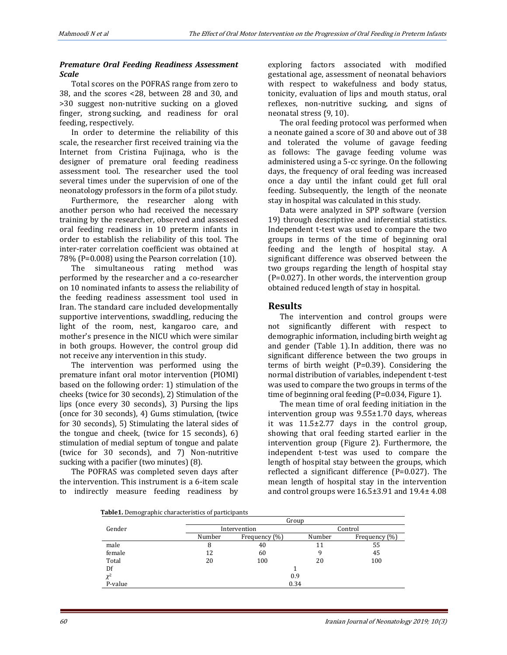## *Premature Oral Feeding Readiness Assessment Scale*

Total scores on the POFRAS range from zero to 38, and the scores <28, between 28 and 30, and >30 suggest non-nutritive sucking on a gloved finger, strong sucking, and readiness for oral feeding, respectively.

In order to determine the reliability of this scale, the researcher first received training via the Internet from Cristina Fujinaga, who is the designer of premature oral feeding readiness assessment tool. The researcher used the tool several times under the supervision of one of the neonatology professors in the form of a pilot study.

Furthermore, the researcher along with another person who had received the necessary training by the researcher, observed and assessed oral feeding readiness in 10 preterm infants in order to establish the reliability of this tool. The inter-rater correlation coefficient was obtained at 78% (P=0.008) using the Pearson correlation (10).

The simultaneous rating method was performed by the researcher and a co-researcher on 10 nominated infants to assess the reliability of the feeding readiness assessment tool used in Iran. The standard care included developmentally supportive interventions, swaddling, reducing the light of the room, nest, kangaroo care, and mother's presence in the NICU which were similar in both groups. However, the control group did not receive any intervention in this study.

The intervention was performed using the premature infant oral motor intervention (PIOMI) based on the following order: 1) stimulation of the cheeks (twice for 30 seconds), 2) Stimulation of the lips (once every 30 seconds), 3) Pursing the lips (once for 30 seconds), 4) Gums stimulation, (twice for 30 seconds), 5) Stimulating the lateral sides of the tongue and cheek, (twice for 15 seconds), 6) stimulation of medial septum of tongue and palate (twice for 30 seconds), and 7) Non-nutritive sucking with a pacifier (two minutes) (8).

The POFRAS was completed seven days after the intervention. This instrument is a 6-item scale to indirectly measure feeding readiness by exploring factors associated with modified gestational age, assessment of neonatal behaviors with respect to wakefulness and body status, tonicity, evaluation of lips and mouth status, oral reflexes, non-nutritive sucking, and signs of neonatal stress (9, 10).

The oral feeding protocol was performed when a neonate gained a score of 30 and above out of 38 and tolerated the volume of gavage feeding as follows: The gavage feeding volume was administered using a 5-cc syringe. On the following days, the frequency of oral feeding was increased once a day until the infant could get full oral feeding. Subsequently, the length of the neonate stay in hospital was calculated in this study.

Data were analyzed in SPP software (version 19) through descriptive and inferential statistics. Independent t-test was used to compare the two groups in terms of the time of beginning oral feeding and the length of hospital stay. A significant difference was observed between the two groups regarding the length of hospital stay (P=0.027). In other words, the intervention group obtained reduced length of stay in hospital.

## **Results**

The intervention and control groups were not significantly different with respect to demographic information, including birth weight ag and gender (Table 1). In addition, there was no significant difference between the two groups in terms of birth weight (P=0.39). Considering the normal distribution of variables, independent t-test was used to compare the two groups in terms of the time of beginning oral feeding (P=0.034, Figure 1).

The mean time of oral feeding initiation in the intervention group was 9.55±1.70 days, whereas it was 11.5±2.77 days in the control group, showing that oral feeding started earlier in the intervention group (Figure 2). Furthermore, the independent t-test was used to compare the length of hospital stay between the groups, which reflected a significant difference (P=0.027). The mean length of hospital stay in the intervention and control groups were 16.5±3.91 and 19.4± 4.08

 **Table1.** Demographic characteristics of participants

|          | Group        |               |         |               |
|----------|--------------|---------------|---------|---------------|
| Gender   | Intervention |               | Control |               |
|          | Number       | Frequency (%) | Number  | Frequency (%) |
| male     | 8            | 40            | 11      | 55            |
| female   | 12           | 60            | 9       | 45            |
| Total    | 20           | 100           | 20      | 100           |
| Df       |              |               |         |               |
| $\chi^2$ | 0.9          |               |         |               |
| P-value  | 0.34         |               |         |               |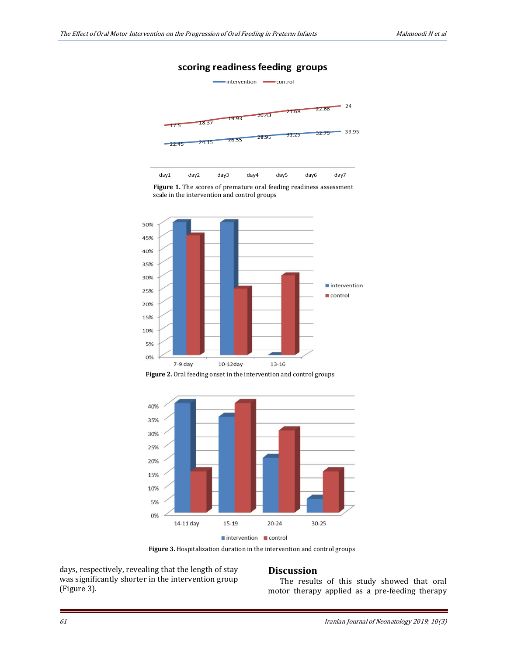## scoring readiness feeding groups







**Figure 2.** Oral feeding onset in the intervention and control groups



 **Figure 3.** Hospitalization duration in the intervention and control groups

days, respectively, revealing that the length of stay was significantly shorter in the intervention group (Figure 3).

#### **Discussion**

The results of this study showed that oral motor therapy applied as a pre-feeding therapy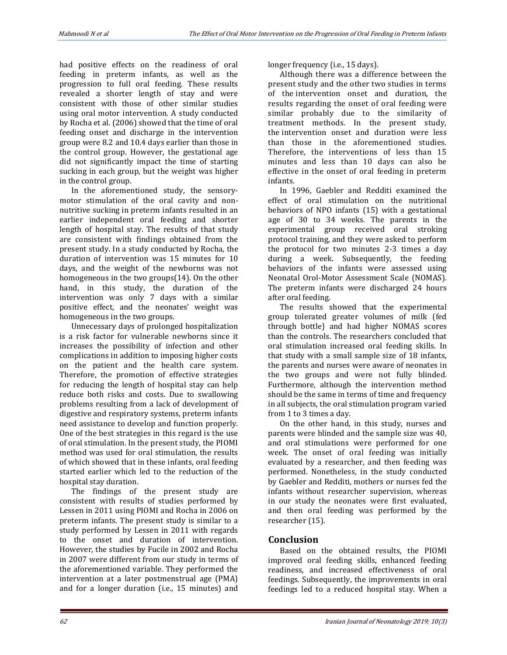had positive effects on the readiness of oral feeding in preterm infants, as well as the progression to full oral feeding. These results revealed a shorter length of stay and were consistent with those of other similar studies using oral motor intervention. A study conducted by Rocha et al. (2006) showed that the time of oral feeding onset and discharge in the intervention group were 8.2 and 10.4 days earlier than those in the control group. However, the gestational age did not significantly impact the time of starting sucking in each group, but the weight was higher in the control group.

In the aforementioned study, the sensorymotor stimulation of the oral cavity and nonnutritive sucking in preterm infants resulted in an earlier independent oral feeding and shorter length of hospital stay. The results of that study are consistent with findings obtained from the present study. In a study conducted by Rocha, the duration of intervention was 15 minutes for 10 days, and the weight of the newborns was not homogeneous in the two groups(14). On the other hand, in this study, the duration of the intervention was only 7 days with a similar positive effect, and the neonates' weight was homogeneous in the two groups.

Unnecessary days of prolonged hospitalization is a risk factor for vulnerable newborns since it increases the possibility of infection and other complications in addition to imposing higher costs on the patient and the health care system. Therefore, the promotion of effective strategies for reducing the length of hospital stay can help reduce both risks and costs. Due to swallowing problems resulting from a lack of development of digestive and respiratory systems, preterm infants need assistance to develop and function properly. One of the best strategies in this regard is the use of oral stimulation. In the present study, the PIOMI method was used for oral stimulation, the results of which showed that in these infants, oral feeding started earlier which led to the reduction of the hospital stay duration.

The findings of the present study are consistent with results of studies performed by Lessen in 2011 using PIOMI and Rocha in 2006 on preterm infants. The present study is similar to a study performed by Lessen in 2011 with regards to the onset and duration of intervention. However, the studies by Fucile in 2002 and Rocha in 2007 were different from our study in terms of the aforementioned variable. They performed the intervention at a later postmenstrual age (PMA) and for a longer duration (i.e., 15 minutes) and

longer frequency (i.e., 15 days).

Although there was a difference between the present study and the other two studies in terms of the intervention onset and duration, the results regarding the onset of oral feeding were similar probably due to the similarity of treatment methods. In the present study, the intervention onset and duration were less than those in the aforementioned studies. Therefore, the interventions of less than 15 minutes and less than 10 days can also be effective in the onset of oral feeding in preterm infants.

In 1996, Gaebler and Redditi examined the effect of oral stimulation on the nutritional behaviors of NPO infants (15) with a gestational age of 30 to 34 weeks. The parents in the experimental group received oral stroking protocol training, and they were asked to perform the protocol for two minutes 2-3 times a day during a week. Subsequently, the feeding behaviors of the infants were assessed using Neonatal Orol-Motor Assessment Scale (NOMAS). The preterm infants were discharged 24 hours after oral feeding.

The results showed that the experimental group tolerated greater volumes of milk (fed through bottle) and had higher NOMAS scores than the controls. The researchers concluded that oral stimulation increased oral feeding skills. In that study with a small sample size of 18 infants, the parents and nurses were aware of neonates in the two groups and were not fully blinded. Furthermore, although the intervention method should be the same in terms of time and frequency in all subjects, the oral stimulation program varied from 1 to 3 times a day.

On the other hand, in this study, nurses and parents were blinded and the sample size was 40, and oral stimulations were performed for one week. The onset of oral feeding was initially evaluated by a researcher, and then feeding was performed. Nonetheless, in the study conducted by Gaebler and Redditi, mothers or nurses fed the infants without researcher supervision, whereas in our study the neonates were first evaluated, and then oral feeding was performed by the researcher (15).

## **Conclusion**

Based on the obtained results, the PIOMI improved oral feeding skills, enhanced feeding readiness, and increased effectiveness of oral feedings. Subsequently, the improvements in oral feedings led to a reduced hospital stay. When a